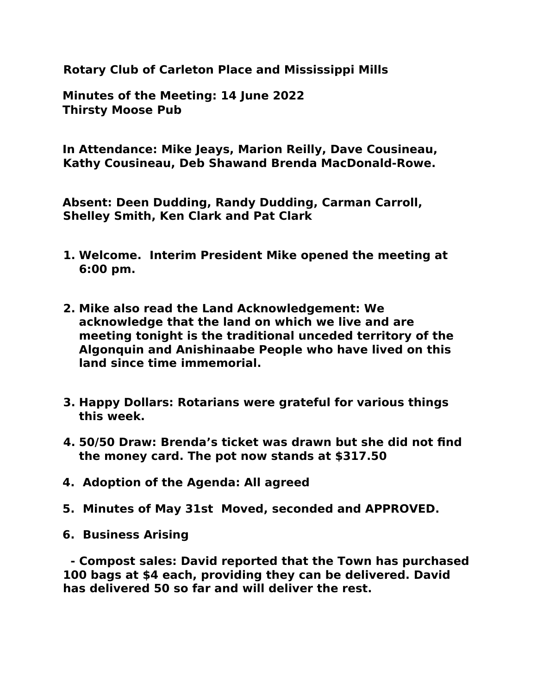**Rotary Club of Carleton Place and Mississippi Mills** 

**Minutes of the Meeting: 14 June 2022 Thirsty Moose Pub**

**In Attendance: Mike Jeays, Marion Reilly, Dave Cousineau, Kathy Cousineau, Deb Shawand Brenda MacDonald-Rowe.**

**Absent: Deen Dudding, Randy Dudding, Carman Carroll, Shelley Smith, Ken Clark and Pat Clark** 

- **1. Welcome. Interim President Mike opened the meeting at 6:00 pm.**
- **2. Mike also read the Land Acknowledgement: We acknowledge that the land on which we live and are meeting tonight is the traditional unceded territory of the Algonquin and Anishinaabe People who have lived on this land since time immemorial.**
- **3. Happy Dollars: Rotarians were grateful for various things this week.**
- **4. 50/50 Draw: Brenda's ticket was drawn but she did not find the money card. The pot now stands at \$317.50**
- **4. Adoption of the Agenda: All agreed**
- **5. Minutes of May 31st Moved, seconded and APPROVED.**
- **6. Business Arising**

 **- Compost sales: David reported that the Town has purchased 100 bags at \$4 each, providing they can be delivered. David has delivered 50 so far and will deliver the rest.**